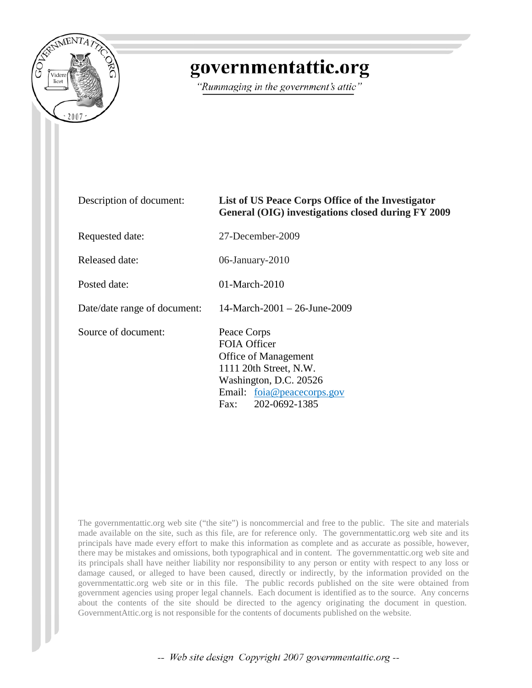

## governmentattic.org

"Rummaging in the government's attic"

| Description of document:     | List of US Peace Corps Office of the Investigator<br>General (OIG) investigations closed during FY 2009                                                               |
|------------------------------|-----------------------------------------------------------------------------------------------------------------------------------------------------------------------|
| Requested date:              | 27-December-2009                                                                                                                                                      |
| Released date:               | 06-January-2010                                                                                                                                                       |
| Posted date:                 | $01$ -March-2010                                                                                                                                                      |
| Date/date range of document: | 14-March-2001 – 26-June-2009                                                                                                                                          |
| Source of document:          | Peace Corps<br>FOIA Officer<br><b>Office of Management</b><br>1111 20th Street, N.W.<br>Washington, D.C. 20526<br>Email: foia@peacecorps.gov<br>202-0692-1385<br>Fax: |

The governmentattic.org web site ("the site") is noncommercial and free to the public. The site and materials made available on the site, such as this file, are for reference only. The governmentattic.org web site and its principals have made every effort to make this information as complete and as accurate as possible, however, there may be mistakes and omissions, both typographical and in content. The governmentattic.org web site and its principals shall have neither liability nor responsibility to any person or entity with respect to any loss or damage caused, or alleged to have been caused, directly or indirectly, by the information provided on the governmentattic.org web site or in this file. The public records published on the site were obtained from government agencies using proper legal channels. Each document is identified as to the source. Any concerns about the contents of the site should be directed to the agency originating the document in question. GovernmentAttic.org is not responsible for the contents of documents published on the website.

-- Web site design Copyright 2007 governmentattic.org --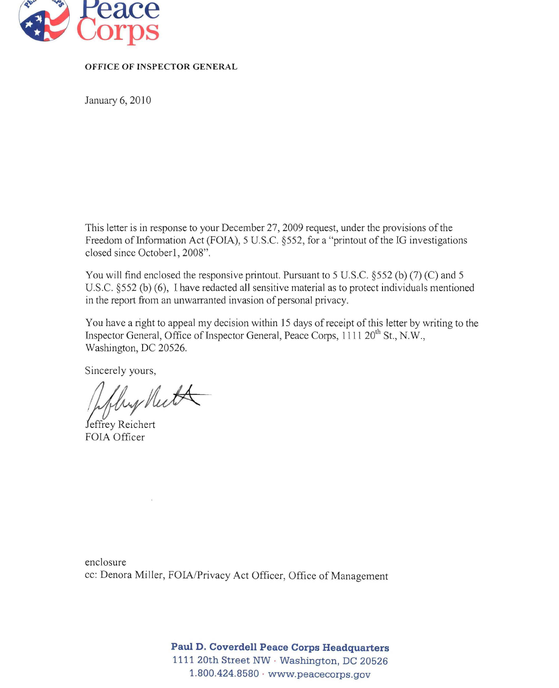

## OFFICE OF INSPECTOR GENERAL

January 6, 2010

This letter is in response to your December 27, 2009 request, under the provisions of the Freedom of Information Act (FOIA), 5 U.S.C. §552, for a "printout of the IG investigations closed since October1, 2008".

You will find enclosed the responsive printout. Pursuant to 5 U.S.C. §552 (b) (7) (C) and 5 U.S.c. §552 (b) (6), I have redacted all sensitive material as to protect individuals mentioned in the report from an unwarranted invasion of personal privacy.

You have a right to appeal my decision within 15 days of receipt of this letter by writing to the Inspector General, Office of Inspector General, Peace Corps, 1111 20<sup>th</sup> St., N.W., Washington, DC 20526.

Sincerely yours,

flux Neet

Jeffrey Reichert FOIA Officer

enclosure cc: Denora Miller, FOIA/Privacy Act Officer, Office of Management

> **Paul D. Coverdell Peace Corps Headquarters**  1111 20th Street NW . Washington, DC 20526 1.800.424.8580 . www.peacecorps.gov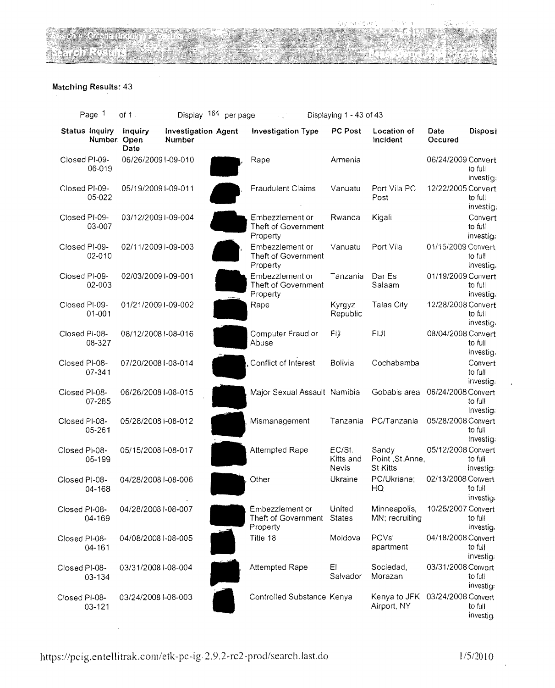## Matching Results: 43

| Page 1                      | of $1 -$                        |                                      | Display 164 per page |                                                           | Displaying 1 - 43 of 43             |                                                |                    |                                 |
|-----------------------------|---------------------------------|--------------------------------------|----------------------|-----------------------------------------------------------|-------------------------------------|------------------------------------------------|--------------------|---------------------------------|
| Status Inquiry              | Inquiry<br>Number. Open<br>Date | <b>Investigation Agent</b><br>Number |                      | Investigation Type                                        | PC Post                             | Location of<br>Incident                        | Date<br>Occured    | Disposi                         |
| Closed PI-09-<br>06-019     |                                 | 06/26/20091-09-010                   |                      | Rape                                                      | Armenia                             |                                                | 06/24/2009 Convert | to full<br>investig;            |
| Closed PI-09-<br>05-022     |                                 | 05/19/2009 1-09-011                  |                      | <b>Fraudulent Claims</b>                                  | Vanuatu                             | Port Vila PC<br>Post                           | 12/22/2005 Convert | to full<br>investig.            |
| Closed PI-09-<br>03-007     |                                 | 03/12/20091-09-004                   |                      | Embezzlement or<br>Theft of Government<br>Property        | Rwanda                              | Kigali                                         |                    | Convert<br>to full<br>investig. |
| Closed PI-09-<br>02-010     |                                 | 02/11/2009 I-09-003                  |                      | Embezzlement or<br>Theft of Government<br>Property        | Vanuatu                             | Port Vila                                      | 01/15/2009 Convert | to full<br>investig.            |
| Closed PI-09-<br>02-003     |                                 | 02/03/2009 I-09-001                  |                      | Embezzlement or<br>Theft of Government<br>Property        | Tanzania                            | Dar Es<br>Salaam                               | 01/19/2009 Convert | to full<br>investig.            |
| Closed PI-09-<br>$01 - 001$ |                                 | 01/21/2009 I-09-002                  |                      | Rape                                                      | Kyrgyz<br>Republic                  | Talas City                                     | 12/28/2008 Convert | to full<br>investig.            |
| Closed PI-08-<br>08-327     |                                 | 08/12/2008 I-08-016                  |                      | Computer Fraud or<br>Abuse                                | Fiji                                | FIJI                                           | 08/04/2008 Convert | to full<br>investig.            |
| Closed PI-08-<br>07-341     |                                 | 07/20/2008 I-08-014                  |                      | Conflict of Interest                                      | <b>Bolivia</b>                      | Cochabamba                                     |                    | Convert<br>to full<br>investig: |
| Closed PI-08-<br>07-285     |                                 | 06/26/2008 I-08-015                  |                      | Major Sexual Assault Namibia                              |                                     | Gobabis area 06/24/2008 Convert                |                    | to full<br>investig:            |
| Closed PI-08-<br>05-261     |                                 | 05/28/2008 i-08-012                  |                      | Mismanagement                                             |                                     | Tanzania PC/Tanzania                           | 05/28/2008 Convert | to full<br>investig.            |
| Closed PI-08-<br>05-199     |                                 | 05/15/2008 I-08-017                  |                      | Attempted Rape                                            | EC/St.<br>Kitts and<br><b>Nevis</b> | Sandy<br>Point, St.Anne,<br><b>St Kitts</b>    | 05/12/2008 Convert | to full<br>investig:            |
| Closed Pl-08-<br>$04 - 168$ |                                 | 04/28/2008 I-08-006                  |                      | Other                                                     | Ukraine                             | PC/Ukriane;<br>HQ                              | 02/13/2008 Convert | to full<br>investig.            |
| Closed PI-08-<br>04-169     |                                 | 04/28/2008 I-08-007                  |                      | Embezzlement or<br>Theft of Government States<br>Property | United                              | Minneapolis,<br>MN; recruiting                 | 10/25/2007 Convert | to full<br>investig.            |
| Closed PI-08-<br>$04 - 161$ |                                 | 04/08/2008 I-08-005                  |                      | Title 18                                                  | Moldova                             | PCVs'<br>apartment                             | 04/18/2008 Convert | to full<br>investig:            |
| Closed PI-08-<br>03-134     |                                 | 03/31/2008 I-08-004                  |                      | Attempted Rape                                            | EI.<br>Salvador                     | Sociedad,<br>Morazan                           | 03/31/2008 Convert | to full<br>investig:            |
| Closed PI-08-<br>$03 - 121$ |                                 | 03/24/2008 I-08-003                  |                      | Controlled Substance Kenya                                |                                     | Kenya to JFK 03/24/2008 Convert<br>Airport, NY |                    | to full<br>investig.            |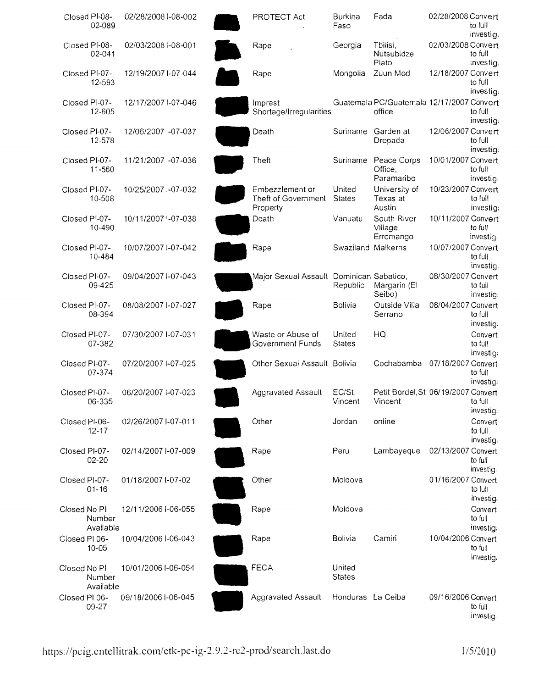|               | Closed PI-08-<br>02-089 | 02/28/2008 I-08-002 | PROTECT Act                                        | <b>Burkina</b><br>Faso  | Fada                                                | 02/28/2008 Convert | to full<br>investig.            |
|---------------|-------------------------|---------------------|----------------------------------------------------|-------------------------|-----------------------------------------------------|--------------------|---------------------------------|
|               | Closed PI-08-<br>02-041 | 02/03/2008 I-08-001 | Rape                                               | Georgia                 | Tbilisi.<br>Nutsubidze<br>Plato                     | 02/03/2008 Convert | to full<br>investig.            |
|               | Closed Pl-07-<br>12-593 | 12/19/2007 I-07-044 | Rape                                               | Mongolia                | Zuun Mod                                            | 12/18/2007 Convert | to full<br>investig.            |
|               | Closed PI-07-<br>12-605 | 12/17/2007 I-07-046 | Imprest<br>Shortage/Irregularities                 |                         | Guatemala PC/Guatemala 12/17/2007 Convert<br>office |                    | to full<br>investig.            |
|               | Closed Pi-07-<br>12-578 | 12/06/2007 I-07-037 | Death                                              | Suriname Garden at      | Drepada                                             | 12/06/2007 Convert | to full<br>investig.            |
|               | Closed PI-07-<br>11-560 | 11/21/2007 I-07-036 | Theft                                              |                         | Suriname Peace Corps<br>Office.<br>Paramaribo       | 10/01/2007 Convert | to full<br>investig:            |
|               | Closed PI-07-<br>10-508 | 10/25/2007 I-07-032 | Embezzlement or<br>Theft of Government<br>Property | United<br><b>States</b> | University of<br>Texas at<br>Austin                 | 10/23/2007 Convert | to full<br>investig:            |
|               | Closed PI-07-<br>10-490 | 10/11/2007 I-07-038 | Death                                              | Vanuatu                 | South River<br>Village,<br>Erromango                | 10/11/2007 Convert | to full<br>investig.            |
|               | Closed PI-07-<br>10-484 | 10/07/2007 I-07-042 | Rape                                               | Swaziland Malkerns      |                                                     | 10/07/2007 Convert | to full<br>investig.            |
|               | Closed PI-07-<br>09-425 | 09/04/2007 I-07-043 | Major Sexual Assault Dominican Sabatico,           | Republic                | Margarin (El<br>Seibo)                              | 08/30/2007 Convert | to full<br>investig:            |
|               | Closed PI-07-<br>08-394 | 08/08/2007 I-07-027 | Rape                                               | <b>Bolivia</b>          | Outside Villa<br>Serrano                            | 08/04/2007 Convert | to full<br>investig.            |
| Closed PI-07- | 07-382                  | 07/30/2007 I-07-031 | Waste or Abuse of<br>Government Funds              | United<br><b>States</b> | HQ                                                  |                    | Convert<br>to full<br>investig: |
| Closed PI-07- | 07-374                  | 07/20/2007 I-07-025 | Other Sexual Assault Bolivia                       |                         | Cochabamba 07/18/2007 Convert                       |                    | to full<br>investig.            |
| Closed PI-07- | 06-335                  | 06/20/2007 I-07-023 | Aggravated Assault                                 | EC/St.<br>Vincent       | Petit Bordel, St 06/19/2007 Convert<br>Vincent      |                    | to full<br>investig:            |
| Closed PI-06- | $12 - 17$               | 02/26/2007 I-07-011 | Other                                              | Jordan                  | online                                              |                    | Convert<br>to full<br>investig. |
| Closed PI-07- | $02 - 20$               | 02/14/2007 I-07-009 | Rape                                               | Peru                    | Lambayeque                                          | 02/13/2007 Convert | to full<br>investig:            |
| Closed PI-07- | $01 - 16$               | 01/18/2007 I-07-02  | Other                                              | Moldova                 |                                                     | 01/16/2007 Convert | to full<br>investig.            |
| Closed No PI  | Number<br>Available     | 12/11/2006 I-06-055 | Rape                                               | Moldova                 |                                                     |                    | Convert<br>to full<br>investig. |
| Closed PI 06- | $10 - 05$               | 10/04/2006 I-06-043 | Rape                                               | Bolivia                 | Camiri                                              | 10/04/2006 Convert | to full<br>investig.            |
| Closed No Pl  | Number<br>Available     | 10/01/2006 I-06-054 | <b>FECA</b>                                        | United<br><b>States</b> |                                                     |                    |                                 |
| Closed PI 06- | 09-27                   | 09/18/2006 I-06-045 | Aggravated Assault                                 | Honduras La Ceiba       |                                                     | 09/16/2006 Convert | to full<br>investig.            |